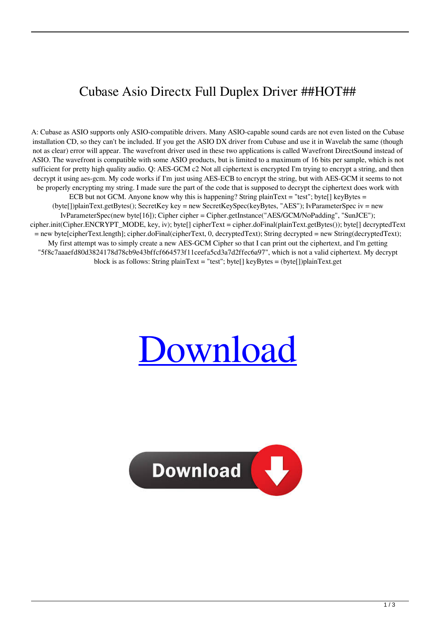## Cubase Asio Directx Full Duplex Driver ##HOT##

A: Cubase as ASIO supports only ASIO-compatible drivers. Many ASIO-capable sound cards are not even listed on the Cubase installation CD, so they can't be included. If you get the ASIO DX driver from Cubase and use it in Wavelab the same (though not as clear) error will appear. The wavefront driver used in these two applications is called Wavefront DirectSound instead of ASIO. The wavefront is compatible with some ASIO products, but is limited to a maximum of 16 bits per sample, which is not sufficient for pretty high quality audio. Q: AES-GCM c2 Not all ciphertext is encrypted I'm trying to encrypt a string, and then decrypt it using aes-gcm. My code works if I'm just using AES-ECB to encrypt the string, but with AES-GCM it seems to not be properly encrypting my string. I made sure the part of the code that is supposed to decrypt the ciphertext does work with ECB but not GCM. Anyone know why this is happening? String plainText = "test"; byte[] keyBytes = (byte[])plainText.getBytes(); SecretKey key = new SecretKeySpec(keyBytes, "AES"); IvParameterSpec iv = new IvParameterSpec(new byte[16]); Cipher cipher = Cipher.getInstance("AES/GCM/NoPadding", "SunJCE"); cipher.init(Cipher.ENCRYPT\_MODE, key, iv); byte[] cipherText = cipher.doFinal(plainText.getBytes()); byte[] decryptedText = new byte[cipherText.length]; cipher.doFinal(cipherText, 0, decryptedText); String decrypted = new String(decryptedText); My first attempt was to simply create a new AES-GCM Cipher so that I can print out the ciphertext, and I'm getting "5f8c7aaaefd80d3824178d78cb9e43bffcf664573f11ceefa5cd3a7d2ffec6a97", which is not a valid ciphertext. My decrypt block is as follows: String plainText = "test"; byte[] keyBytes = (byte[])plainText.get

## [Download](https://tinurll.com/2kym7d)

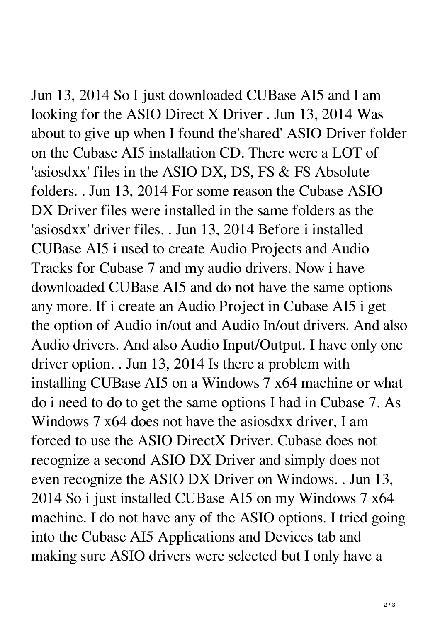## Jun 13, 2014 So I just downloaded CUBase AI5 and I am

looking for the ASIO Direct X Driver . Jun 13, 2014 Was about to give up when I found the'shared' ASIO Driver folder on the Cubase AI5 installation CD. There were a LOT of 'asiosdxx' files in the ASIO DX, DS, FS & FS Absolute folders. . Jun 13, 2014 For some reason the Cubase ASIO DX Driver files were installed in the same folders as the 'asiosdxx' driver files. . Jun 13, 2014 Before i installed CUBase AI5 i used to create Audio Projects and Audio Tracks for Cubase 7 and my audio drivers. Now i have downloaded CUBase AI5 and do not have the same options any more. If i create an Audio Project in Cubase AI5 i get the option of Audio in/out and Audio In/out drivers. And also Audio drivers. And also Audio Input/Output. I have only one driver option. . Jun 13, 2014 Is there a problem with installing CUBase AI5 on a Windows 7 x64 machine or what do i need to do to get the same options I had in Cubase 7. As Windows 7 x64 does not have the asiosdxx driver, I am forced to use the ASIO DirectX Driver. Cubase does not recognize a second ASIO DX Driver and simply does not even recognize the ASIO DX Driver on Windows. . Jun 13, 2014 So i just installed CUBase AI5 on my Windows 7 x64 machine. I do not have any of the ASIO options. I tried going into the Cubase AI5 Applications and Devices tab and making sure ASIO drivers were selected but I only have a